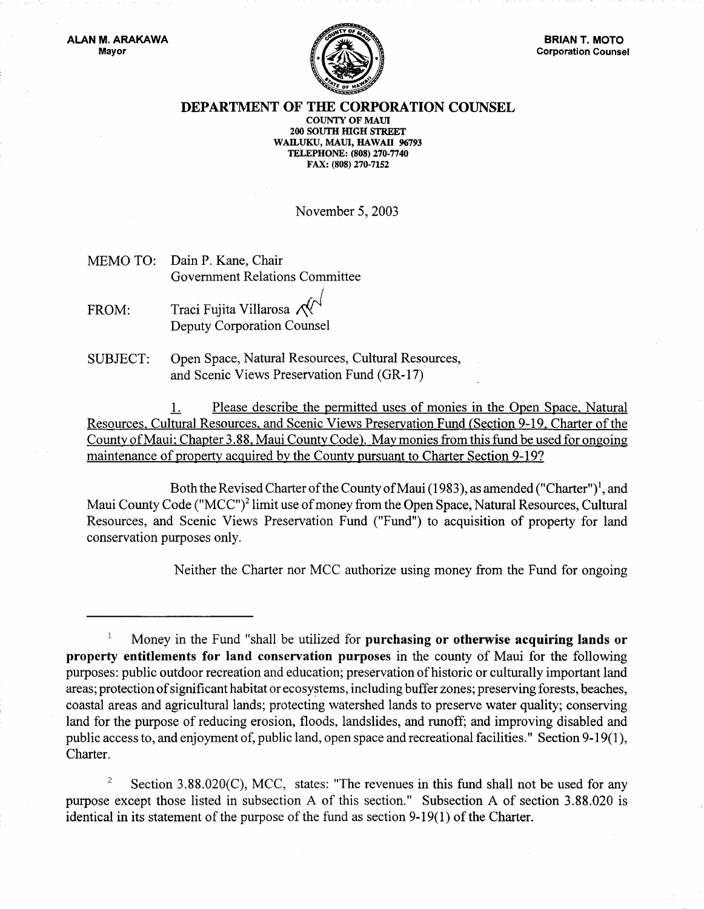

## DEPARTMENT OF THE CORPORATION COUNSEL

COUNTY OF MAUl 200 SOUTH mGH STREET WAILUKU, MAUl, HAWAII 96793 TELEPHONE: (808) 270-7740 FAX: (808) 270-7152

November 5, 2003

- MEMO TO: Dain P. Kane, Chair Government Relations Committee
- FROM: Traci Fujita Villarosa  $\mathcal{N}^{\mathcal{N}}$ Deputy Corporation Counsel
- SUBJECT: Open Space, Natural Resources, Cultural Resources, and Scenic Views Preservation Fund (GR-17)

L Please describe the permitted uses of monies in the Open Space. Natural Resources, Cultural Resources, and Scenic Views Preservation Fund (Section 9-19, Charter of the County of Maui; Chapter 3.88, Maui County Code). May monies from this fund be used for ongoing maintenance of property acquired by the County pursuant to Charter Section 9-19?

Both the Revised Charter of the County of Maui (1983), as amended ("Charter")<sup>1</sup>, and Maui County Code ("MCC")<sup>2</sup> limit use of money from the Open Space, Natural Resources, Cultural Resources, and Scenic Views Preservation Fund ("Fund") to acquisition of property for land conservation purposes only.

Neither the Charter nor MCC authorize using money from the Fund for ongoing

<sup>2</sup> Section 3.88.020(C), MCC, states: "The revenues in this fund shall not be used for any purpose except those listed in subsection A of this section." Subsection A of section 3.88.020 is identical in its statement of the purpose of the fund as section 9-19(1) of the Charter.

 $\mathbf{1}$ Money in the Fund "shall be utilized for purchasing or otherwise acquiring lands or property entitlements for land conservation purposes in the county of Maui for the following purposes: public outdoor recreation and education; preservation of historic or culturally important land areas; protection of significant habitat or ecosystems, including buffer zones; preserving forests, beaches, coastal areas and agricultural lands; protecting watershed lands to preserve water quality; conserving land for the purpose of reducing erosion, floods, landslides, and runoff; and improving disabled and public access to, and enjoyment of, public land, open space and recreational facilities." Section 9-19(1), Charter.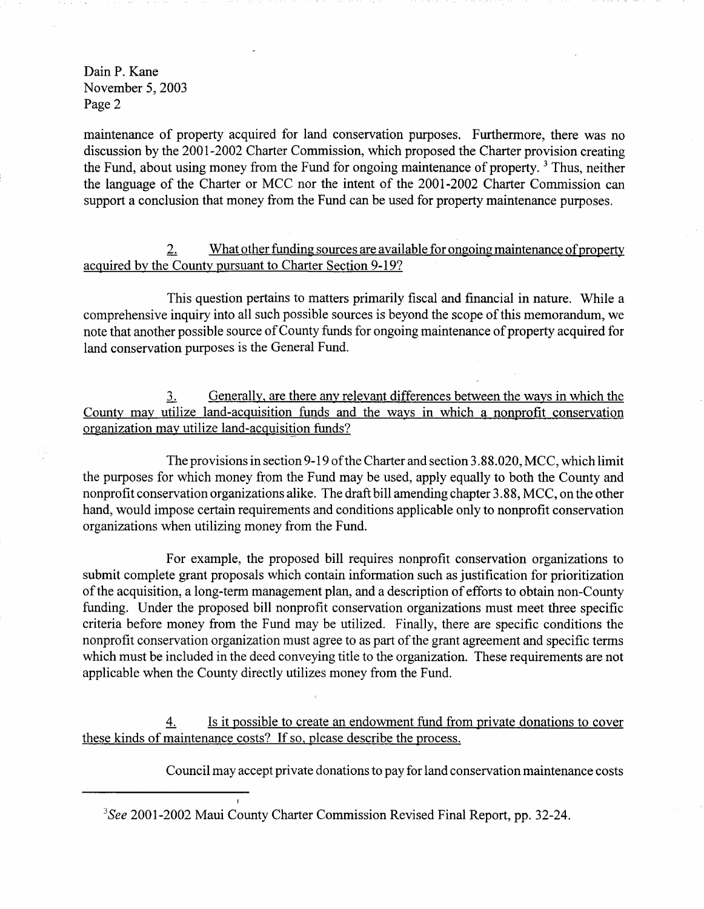DainP. Kane November 5, 2003 Page 2

maintenance of property acquired for land conservation purposes. Furthermore, there was no discussion by the 2001-2002 Charter Commission, which proposed the Charter provision creating the Fund, about using money from the Fund for ongoing maintenance of property.<sup>3</sup> Thus, neither the language of the Charter or MCC nor the intent of the 2001-2002 Charter Commission can support a conclusion that money from the Fund can be used for property maintenance purposes.

2. What other funding sources are available for ongoing maintenance of property acquired by the County pursuant to Charter Section 9-19?

This question pertains to matters primarily fiscal and financial in nature. While a comprehensive inquiry into all such possible sources is beyond the scope of this memorandum, we note that another possible source of County funds for ongoing maintenance of property acquired for land conservation purposes is the General Fund.

.1. Generally, are there any relevant differences between the ways in which the County may utilize land-acquisition funds and the ways in which a nonprofit conservation organization may utilize land-acquisition funds?

The provisions in section 9-19 of the Charter and section 3.88.020, MCC, which limit the purposes for which money from the Fund may be used, apply equally to both the County and nonprofit conservation organizations alike. The draft bill amending chapter 3.88, MCC, on the other hand, would impose certain requirements and conditions applicable only to nonprofit conservation organizations when utilizing money from the Fund.

For example, the proposed bill requires nonprofit conservation organizations to submit complete grant proposals which contain information such as justification for prioritization of the acquisition, a long-term management plan, and a description of efforts to obtain non-County funding. Under the proposed bill nonprofit conservation organizations must meet three specific criteria before money from the Fund may be utilized. Finally, there are specific conditions the nonprofit conservation organization must agree to as part of the grant agreement and specific terms which must be included in the deed conveying title to the organization. These requirements are not applicable when the County directly utilizes money from the Fund.

4. Is it possible to create an endowment fund from private donations to cover these kinds of maintenance costs? If so, please describe the process.

Council may accept private donations to pay for land conservation maintenance costs

*3S*ee 2001-2002 Maui County Charter Commission Revised Final Report, pp. 32-24.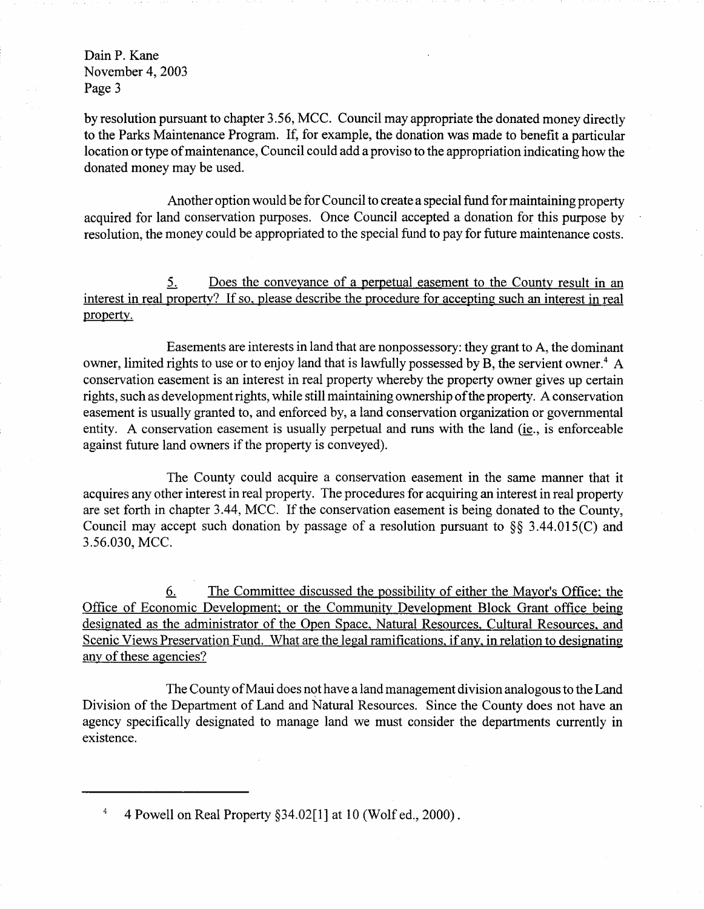DainP. Kane November 4, 2003 Page 3

by resolution pursuant to chapter 3.56, MCC. Council may appropriate the donated money directly to the Parks Maintenance Program. If, for example, the donation was made to benefit a particular location or type of maintenance, Council could add a proviso to the appropriation indicating how the donated money may be used.

Another option would be for Council to create a special fund for maintaining property acquired for land conservation purposes. Once Council accepted a donation for this purpose by resolution, the money could be appropriated to the special fund to pay for future maintenance costs.

5. Does the conveyance of a perpetual easement to the County result in an interest in real property? If so, please describe the procedure for accepting such an interest in real property.

Easements are interests in land that are nonpossessory: they grant to A, the dominant owner, limited rights to use or to enjoy land that is lawfully possessed by B, the servient owner.<sup>4</sup> A conservation easement is an interest in real property whereby the property owner gives up certain rights, such as development rights, while still maintaining ownership of the property. A conservation easement is usually granted to, and enforced by, a land conservation organization or governmental entity. A conservation easement is usually perpetual and runs with the land (ie., is enforceable against future land owners if the property is conveyed).

The County could acquire a conservation easement in the same manner that it acquires any other interest in real property. The procedures for acquiring an interest in real property are set forth in chapter 3.44, MCC. If the conservation easement is being donated to the County, Council may accept such donation by passage of a resolution pursuant to §§ 3.44.015(C) and 3.56.030, MCC.

6. The Committee discussed the possibility of either the Mayor's Office; the Office of Economic Development; or the Community Development Block Grant office being designated as the administrator of the Open Space, Natural Resources. Cultural Resources. and Scenic Views Preservation Fund. What are the legal ramifications. if any. in relation to designating any of these agencies?

The County of Maui does not have a land management division analogous to the Land Division of the Department of Land and Natural Resources. Since the County does not have an agency specifically designated to manage land we must consider the departments currently in existence.

 $\overline{4}$ 4 Powell on Real Property §34.02[1] at 10 (Wolf ed., 2000).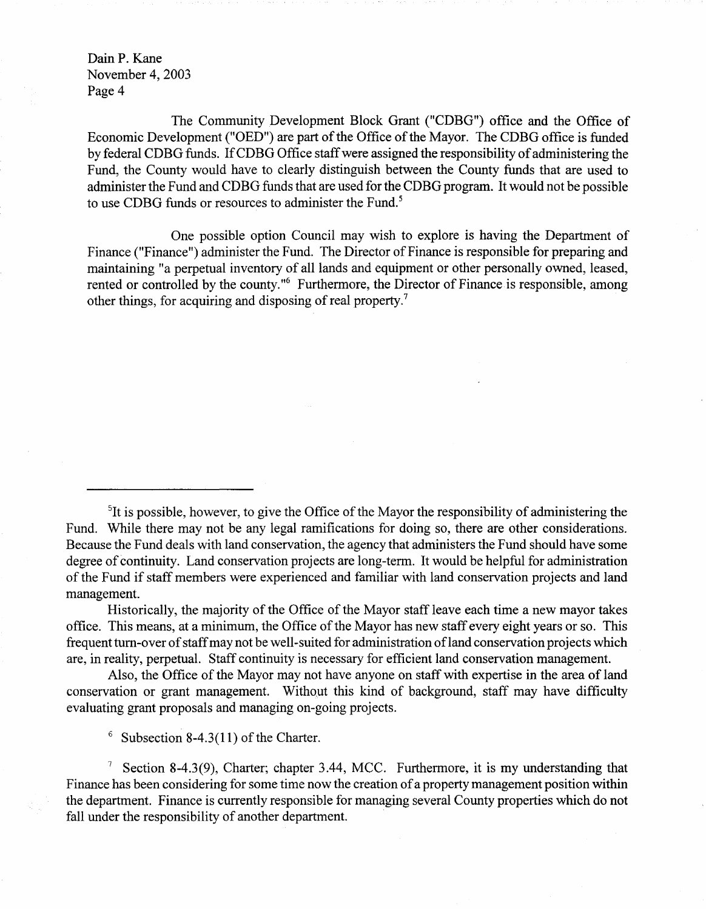DainP. Kane November 4, 2003 Page 4

The Community Development Block Grant ("CDBG") office and the Office of Economic Development ("OED") are part of the Office of the Mayor. The CDBG office is funded by federal CDBG funds. If CDBG Office staff were assigned the responsibility of administering the Fund, the County would have to clearly distinguish between the County funds that are used to administer the Fund and CDBG funds that are used for the CDBG program. It would not be possible to use CDBG funds or resources to administer the Fund.<sup>5</sup>

One possible option Council may wish to explore is having the Department of Finance ("Finance") administer the Fund. The Director of Finance is responsible for preparing and maintaining "a perpetual inventory of all lands and equipment or other personally owned, leased, rented or controlled by the county."<sup>6</sup> Furthermore, the Director of Finance is responsible, among other things, for acquiring and disposing of real property.<sup>7</sup>

Historically, the majority of the Office of the Mayor staff leave each time a new mayor takes office. This means, at a minimum, the Office of the Mayor has new staff every eight years or so. This frequent tum-over of staff may not be well-suited for administration of land conservation projects which are, in reality, perpetual. Staff continuity is necessary for efficient land conservation management.

Also, the Office of the Mayor may not have anyone on staff with expertise in the area of land conservation or grant management. Without this kind of background, staff may have difficulty evaluating grant proposals and managing on-going projects.

 $6$  Subsection 8-4.3(11) of the Charter.

<sup>7</sup> Section 8-4.3(9), Charter; chapter 3.44, MCC. Furthermore, it is my understanding that Finance has been considering for some time now the creation of a property management position within the department. Finance is currently responsible for managing several County properties which do not fall under the responsibility of another department.

<sup>&</sup>lt;sup>5</sup>It is possible, however, to give the Office of the Mayor the responsibility of administering the Fund. While there may not be any legal ramifications for doing so, there are other considerations. Because the Fund deals with land conservation, the agency that administers the Fund should have some degree of continuity. Land conservation projects are long-term. It would be helpful for administration of the Fund if staff members were experienced and familiar with land conservation projects and land management.